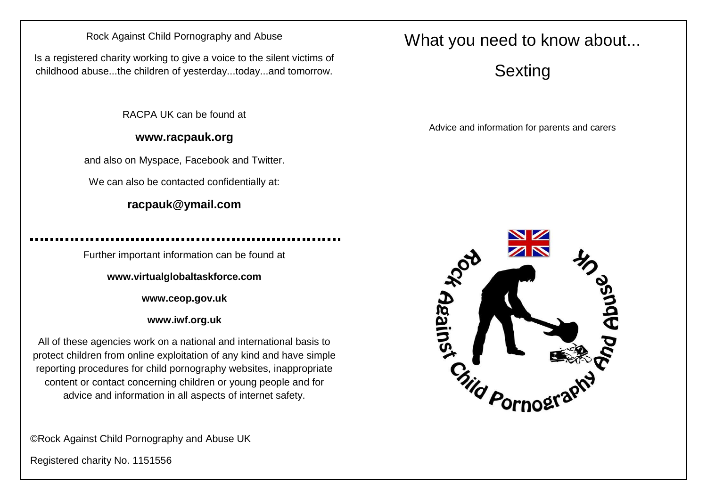## Rock Against Child Pornography and Abuse

Is a registered charity working to give a voice to the silent victims of childhood abuse...the children of yesterday...today...and tomorrow.

RACPA UK can be found at

## **www.racpauk.org**

and also on Myspace, Facebook and Twitter.

We can also be contacted confidentially at:

## **racpauk@ymail.com**

Further important information can be found at

**www.virtualglobaltaskforce.com**

**www.ceop.gov.uk**

**www.iwf.org.uk**

All of these agencies work on a national and international basis to protect children from online exploitation of any kind and have simple reporting procedures for child pornography websites, inappropriate content or contact concerning children or young people and for advice and information in all aspects of internet safety.

©Rock Against Child Pornography and Abuse UK

Registered charity No. 1151556

## What you need to know about...

Sexting

Advice and information for parents and carers